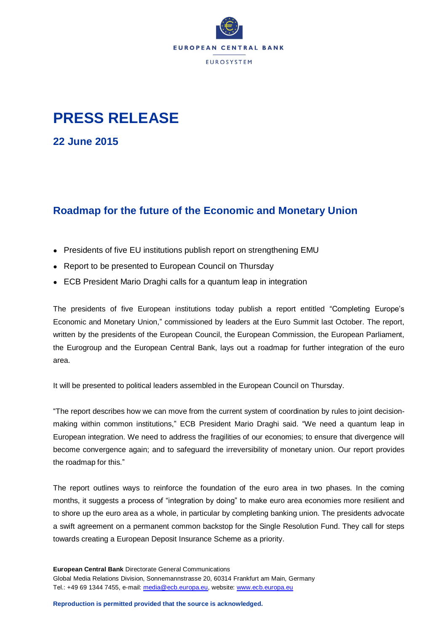

## **PRESS RELEASE**

**22 June 2015**

## **Roadmap for the future of the Economic and Monetary Union**

- Presidents of five EU institutions publish report on strengthening EMU
- Report to be presented to European Council on Thursday
- ECB President Mario Draghi calls for a quantum leap in integration

The presidents of five European institutions today publish a report entitled "Completing Europe's Economic and Monetary Union," commissioned by leaders at the Euro Summit last October. The report, written by the presidents of the European Council, the European Commission, the European Parliament, the Eurogroup and the European Central Bank, lays out a roadmap for further integration of the euro area.

It will be presented to political leaders assembled in the European Council on Thursday.

"The report describes how we can move from the current system of coordination by rules to joint decisionmaking within common institutions," ECB President Mario Draghi said. "We need a quantum leap in European integration. We need to address the fragilities of our economies; to ensure that divergence will become convergence again; and to safeguard the irreversibility of monetary union. Our report provides the roadmap for this."

The report outlines ways to reinforce the foundation of the euro area in two phases. In the coming months, it suggests a process of "integration by doing" to make euro area economies more resilient and to shore up the euro area as a whole, in particular by completing banking union. The presidents advocate a swift agreement on a permanent common backstop for the Single Resolution Fund. They call for steps towards creating a European Deposit Insurance Scheme as a priority.